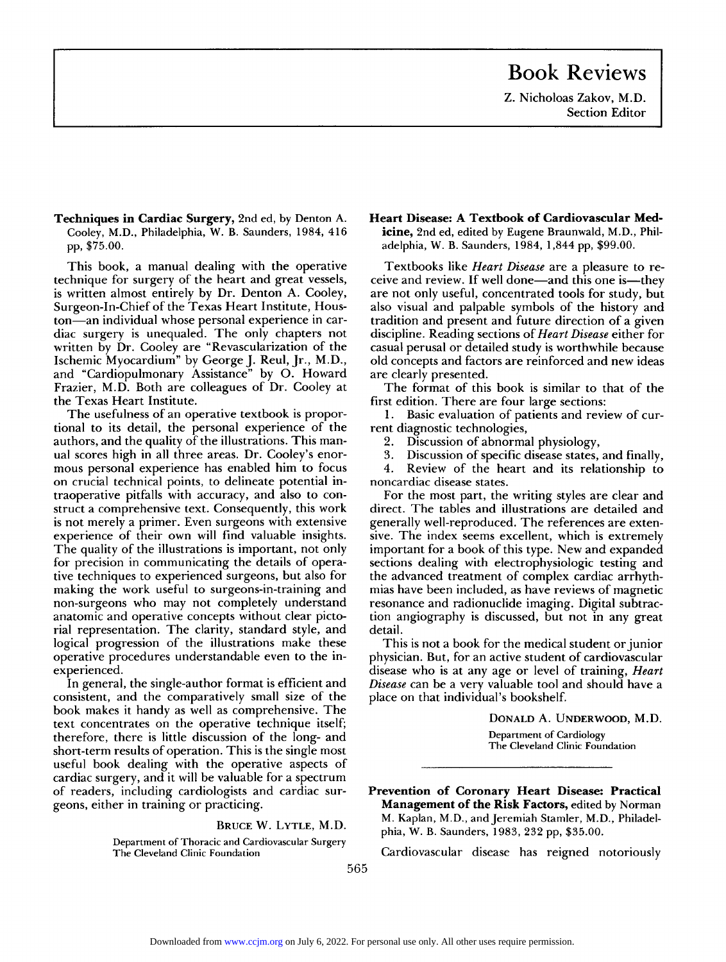## **Book Reviews**

**Z. Nicholoas Zakov, M.D. Section Editor** 

**Techniques in Cardiac Surgery, 2nd ed, by Denton A. Cooley, M.D., Philadelphia, W. B. Saunders, 1984, 416 pp, \$75.00.** 

**This book, a manual dealing with the operative technique for surgery of the heart and great vessels, is written almost entirely by Dr. Denton A. Cooley, Surgeon-In-Chief of the Texas Heart Institute, Houston—an individual whose personal experience in cardiac surgery is unequaled. The only chapters not written by Dr. Cooley are "Revascularization of the Ischemic Myocardium" by George J. Reul, Jr., M.D., and "Cardiopulmonary Assistance" by O. Howard Frazier, M.D. Both are colleagues of Dr. Cooley at the Texas Heart Institute.** 

**The usefulness of an operative textbook is proportional to its detail, the personal experience of the authors, and the quality of the illustrations. This manual scores high in all three areas. Dr. Cooley's enormous personal experience has enabled him to focus on crucial technical points, to delineate potential intraoperative pitfalls with accuracy, and also to construct a comprehensive text. Consequently, this work is not merely a primer. Even surgeons with extensive experience of their own will find valuable insights. The quality of the illustrations is important, not only for precision in communicating the details of operative techniques to experienced surgeons, but also for making the work useful to surgeons-in-training and non-surgeons who may not completely understand anatomic and operative concepts without clear pictorial representation. The clarity, standard style, and logical progression of the illustrations make these operative procedures understandable even to the inexperienced.** 

**In general, the single-author format is efficient and consistent, and the comparatively small size of the book makes it handy as well as comprehensive. The text concentrates on the operative technique itself; therefore, there is little discussion of the long- and short-term results of operation. This is the single most useful book dealing with the operative aspects of cardiac surgery, and it will be valuable for a spectrum of readers, including cardiologists and cardiac surgeons, either in training or practicing.** 

**BRUC E W . LYTLE , M.D .** 

**Department of Thoracic and Cardiovascular Surgery The Cleveland Clinic Foundation** 

## **Heart Disease: A Textbook of Cardiovascular Medicine, 2nd ed, edited by Eugene Braunwald, M.D., Philadelphia, W. B. Saunders, 1984, 1,844 pp, \$99.00.**

**Textbooks like** *Heart Disease* **are a pleasure to receive and review. If well done—and this one is—they are not only useful, concentrated tools for study, but also visual and palpable symbols of the history and tradition and present and future direction of a given discipline. Reading sections of** *Heart Disease* **either for casual perusal or detailed study is worthwhile because old concepts and factors are reinforced and new ideas are clearly presented.** 

**The format of this book is similar to that of the first edition. There are four large sections:** 

**1. Basic evaluation of patients and review of current diagnostic technologies,** 

**2. Discussion of abnormal physiology,** 

**3. Discussion of specific disease states, and finally,** 

**4. Review of the heart and its relationship to noncardiac disease states.** 

**For the most part, the writing styles are clear and direct. The tables and illustrations are detailed and generally well-reproduced. The references are extensive. The index seems excellent, which is extremely important for a book of this type. New and expanded sections dealing with electrophysiologic testing and the advanced treatment of complex cardiac arrhythmias have been included, as have reviews of magnetic resonance and radionuclide imaging. Digital subtraction angiography is discussed, but not in any great detail.** 

**This is not a book for the medical student or junior physician. But, for an active student of cardiovascular disease who is at any age or level of training,** *Heart Disease* **can be a very valuable tool and should have a place on that individual's bookshelf.** 

**DONALD A. UNDERWOOD, M.D.** 

**Department of Cardiology The Cleveland Clinic Foundation** 

**Prevention of Coronary Heart Disease: Practical Management of the Risk Factors, edited by Norman M. Kaplan, M.D., and Jeremiah Stamler, M.D., Philadelphia, W. B. Saunders, 1983, 232 pp, \$35.00.** 

**Cardiovascular disease has reigned notoriously** 

**5 6 5**